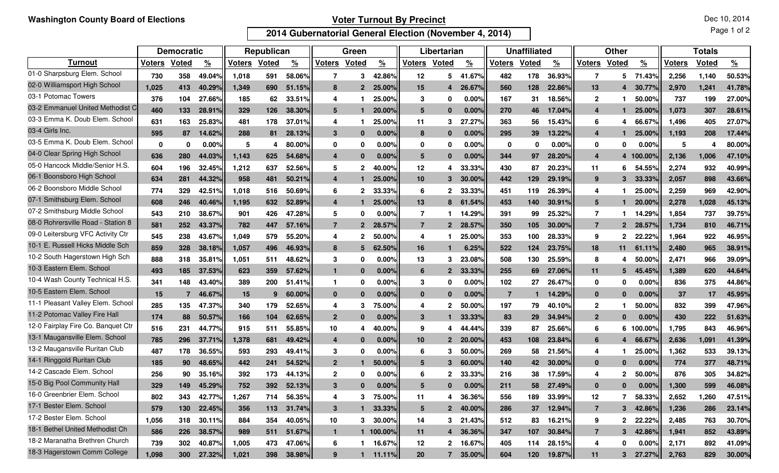## **Voter Turnout By Precinct**

Dec 10, 2014

Page 1 of 2

**2014 Gubernatorial General Election (November 4, 2014)**

|                                    | <b>Democratic</b> |              |               | Republican    |              |               | Green            |              |               | Libertarian     |                |               | <b>Unaffiliated</b> |       |               | <b>Other</b>     |              |               | <b>Totals</b> |              |               |
|------------------------------------|-------------------|--------------|---------------|---------------|--------------|---------------|------------------|--------------|---------------|-----------------|----------------|---------------|---------------------|-------|---------------|------------------|--------------|---------------|---------------|--------------|---------------|
| <b>Turnout</b>                     | <b>Voters</b>     | <b>Voted</b> | $\frac{9}{6}$ | <b>Voters</b> | <b>Voted</b> | $\frac{9}{6}$ | <b>Voters</b>    | <b>Voted</b> | $\frac{9}{6}$ | <b>Voters</b>   | Voted          | $\frac{9}{6}$ | <b>Voters</b>       | Voted | $\frac{9}{6}$ | <b>Voters</b>    | Voted        | $\frac{9}{6}$ | <b>Voters</b> | <b>Voted</b> | $\frac{9}{6}$ |
| 01-0 Sharpsburg Elem. School       | 730               | 358          | 49.04%        | 1,018         | 591          | 58.06%        | 7                | 3            | 42.86%        | 12              | 5              | 41.67%        | 482                 | 178   | 36.93%        | 7                | 5            | 71.43%        | 2,256         | 1,140        | 50.53%        |
| 02-0 Williamsport High School      | 1.025             | 413          | 40.29%        | 1,349         | 690          | 51.15%        | 8                | $\mathbf{2}$ | 25.00%        | 15              | 4              | 26.67%        | 560                 | 128   | 22.86%        | 13               | Δ            | 30.77%        | 2,970         | 1,241        | 41.78%        |
| 03-1 Potomac Towers                | 376               | 104          | 27.66%        | 185           | 62           | 33.51%        | 4                |              | 25.00%        | 3               | 0              | 0.00%         | 167                 | 31    | 18.56%        | $\mathbf{2}$     |              | 50.00%        | 737           | 199          | 27.00%        |
| 03-2 Emmanuel United Methodist C   | 460               | 133          | 28.91%        | 329           | 126          | 38.30%        | 5                |              | 20.00%        | 5               | $\mathbf{0}$   | 0.00%         | 270                 | 46    | 17.04%        | $\boldsymbol{4}$ |              | 25.00%        | 1.073         | 307          | 28.61%        |
| 03-3 Emma K. Doub Elem. School     | 631               | 163          | 25.83%        | 481           | 178          | 37.01%        | 4                |              | 25.00%        | 11              | 3              | 27.27%        | 363                 | 56    | 15.43%        | 6                | 4            | 66.67%        | 1,496         | 405          | 27.07%        |
| 03-4 Girls Inc.                    | 595               | 87           | 14.62%        | 288           | 81           | 28.13%        | 3                | $\bf{0}$     | 0.00%         | 8               | $\mathbf{0}$   | 0.00%         | 295                 | 39    | 13.22%        | $\boldsymbol{4}$ |              | 25.00%        | 1.193         | 208          | 17.44%        |
| 03-5 Emma K. Doub Elem. School     | $\mathbf{0}$      | $\bf{0}$     | $0.00\%$      | 5             | 4            | 80.00%        | 0                | 0            | $0.00\%$      | 0               | 0              | 0.00%         | 0                   | 0     | $0.00\%$      | 0                | 0            | $0.00\%$      | 5             | 4            | 80.00%        |
| 04-0 Clear Spring High School      | 636               | 280          | 44.03%        | 1,143         | 625          | 54.68%        | $\boldsymbol{4}$ | $\bf{0}$     | 0.00%         | 5               | $\mathbf{0}$   | 0.00%         | 344                 | 97    | 28.20%        | $\boldsymbol{4}$ | 4            | 100.00%       | 2,136         | 1,006        | 47.10%        |
| 05-0 Hancock Middle/Senior H.S.    | 604               | 196          | 32.45%        | 1,212         | 637          | 52.56%        | 5                | 2            | 40.00%        | 12              | 4              | 33.33%        | 430                 | 87    | 20.23%        | 11               | 6            | 54.55%        | 2,274         | 932          | 40.99%        |
| 06-1 Boonsboro High School         | 634               | 281          | 44.32%        | 958           | 481          | 50.21%        | $\boldsymbol{4}$ |              | 25.00%        | 10              | 3              | 30.00%        | 442                 | 129   | 29.19%        | 9                | 3            | 33.33%        | 2,057         | 898          | 43.66%        |
| 06-2 Boonsboro Middle School       | 774               | 329          | 42.51%        | 1,018         | 516          | 50.69%        | 6                | $\mathbf{2}$ | 33.33%        | 6               | $\mathbf{2}$   | 33.33%        | 451                 | 119   | 26.39%        | 4                |              | 25.00%        | 2,259         | 969          | 42.90%        |
| 07-1 Smithsburg Elem. School       | 608               | 246          | 40.46%        | 1,195         | 632          | 52.89%        | 4                |              | 25.00%        | 13              | 8              | 61.54%        | 453                 | 140   | 30.91%        | 5                |              | 20.00%        | 2,278         | 1,028        | 45.13%        |
| 07-2 Smithsburg Middle School      | 543               | 210          | 38.67%        | 901           | 426          | 47.28%        | 5                | 0            | 0.00%         | 7               |                | 14.29%        | 391                 | 99    | 25.32%        | $\overline{7}$   |              | 14.29%        | 1,854         | 737          | 39.75%        |
| 08-0 Rohrersville Road - Station 8 | 581               | 252          | 43.37%        | 782           | 447          | 57.16%        | $\overline{7}$   | $\mathbf{2}$ | 28.57%        | $\overline{7}$  | $\overline{2}$ | 28.57%        | 350                 | 105   | 30.00%        | $\overline{7}$   | $\mathbf{2}$ | 28.57%        | 1.734         | 810          | 46.71%        |
| 09-0 Leitersburg VFC Activity Ctr  | 545               | 238          | 43.67%        | 1,049         | 579          | 55.20%        | 4                | 2            | 50.00%        | 4               |                | 25.00%        | 353                 | 100   | 28.33%        | 9                | 2            | 22.22%        | 1,964         | 922          | 46.95%        |
| 10-1 E. Russell Hicks Middle Sch   | 859               | 328          | 38.18%        | 1,057         | 496          | 46.93%        | 8                | 5            | 62.50%        | 16              |                | 6.25%         | 522                 | 124   | 23.75%        | 18               | 11           | 61.11%        | 2,480         | 965          | 38.91%        |
| 10-2 South Hagerstown High Sch     | 888               | 318          | 35.81%        | 1,051         | 511          | 48.62%        | 3                | 0            | 0.00%         | 13              | 3              | 23.08%        | 508                 | 130   | 25.59%        | 8                | 4            | 50.00%        | 2,471         | 966          | 39.09%        |
| 10-3 Eastern Elem. School          | 493               | 185          | 37.53%        | 623           | 359          | 57.62%        | $\mathbf{1}$     | $\bf{0}$     | 0.00%         | 6               | $\mathbf 2$    | 33.33%        | 255                 | 69    | 27.06%        | 11               | 5            | 45.45%        | 1.389         | 620          | 44.64%        |
| 10-4 Wash County Technical H.S.    | 341               | 148          | 43.40%        | 389           | 200          | 51.41%        | $\mathbf{1}$     | 0            | 0.00%         | 3               | 0              | 0.00%         | 102                 | 27    | 26.47%        | 0                | 0            | $0.00\%$      | 836           | 375          | 44.86%        |
| 10-5 Eastern Elem. School          | 15                | 7            | 46.67%        | 15            | 9            | 60.00%        | $\bf{0}$         | $\bf{0}$     | 0.00%         | $\bf{0}$        | $\bf{0}$       | 0.00%         | 7                   |       | 14.29%        | $\mathbf{0}$     | $\bf{0}$     | 0.00%         | 37            | 17           | 45.95%        |
| 11-1 Pleasant Valley Elem. School  | 285               | 135          | 47.37%        | 340           | 179          | 52.65%        | 4                | 3            | 75.00%        | 4               | 2              | 50.00%        | 197                 | 79    | 40.10%        | $\mathbf{2}$     |              | 50.00%        | 832           | 399          | 47.96%        |
| 11-2 Potomac Valley Fire Hall      | 174               | 88           | 50.57%        | 166           | 104          | 62.65%        | $\overline{2}$   | $\bf{0}$     | 0.00%         | 3               |                | 33.33%        | 83                  | 29    | 34.94%        | $\overline{2}$   | $\bf{0}$     | 0.00%         | 430           | 222          | 51.63%        |
| 12-0 Fairplay Fire Co. Banquet Ctr | 516               | 231          | 44.77%        | 915           | 511          | 55.85%        | 10               | 4            | 40.00%        | 9               | 4              | 44.44%        | 339                 | 87    | 25.66%        | 6                | 6            | 100.00%       | 1,795         | 843          | 46.96%        |
| 13-1 Maugansville Elem. School     | 785               | 296          | 37.71%        | 1,378         | 681          | 49.42%        | $\overline{4}$   | $\bf{0}$     | 0.00%         | 10              | $\overline{2}$ | 20.00%        | 453                 | 108   | 23.84%        | 6                | Δ            | 66.67%        | 2,636         | 1,091        | 41.39%        |
| 13-2 Maugansville Ruritan Club     | 487               | 178          | 36.55%        | 593           | 293          | 49.41%        | 3                | 0            | 0.00%         | 6               | 3              | 50.00%        | 269                 | 58    | 21.56%        | 4                |              | 25.00%        | 1,362         | 533          | 39.13%        |
| 14-1 Ringgold Ruritan Club         | 185               | 90           | 48.65%        | 442           | 241          | 54.52%        | $\overline{2}$   | 1            | 50.00%        | 5               | 3              | 60.00%        | 140                 | 42    | 30.00%        | $\mathbf{0}$     | 0            | $0.00\%$      | 774           | 377          | 48.71%        |
| 14-2 Cascade Elem. School          | 256               | 90           | 35.16%        | 392           | 173          | 44.13%        | $\mathbf{2}$     | 0            | 0.00%         | 6               | 2              | 33.33%        | 216                 | 38    | 17.59%        | 4                | 2            | 50.00%        | 876           | 305          | 34.82%        |
| 15-0 Big Pool Community Hall       | 329               | 149          | 45.29%        | 752           | 392          | 52.13%        | 3                | $\Omega$     | 0.00%         |                 | $\Omega$       | 0.00%         | 211                 | 58    | 27.49%        | $\Omega$         | $\bf{0}$     | 0.00%         | 1,300         | 599          | 46.08%        |
| 16-0 Greenbrier Elem. School       | 802               | 343          | 42.77%        | 1,267         | 714          | 56.35%        | 4                | 3            | 75.00%        | 11              | 4              | 36.36%        | 556                 | 189   | 33.99%        | 12               |              | 58.33%        | 2,652         | 1,260        | 47.51%        |
| 17-1 Bester Elem. School           | 579               | 130          | 22.45%        | 356           | 113          | 31.74%        | $\mathbf{3}$     | 1            | 33.33%        | $5\overline{5}$ | $\mathbf{2}$   | 40.00%        | 286                 | 37    | 12.94%        | $\overline{7}$   | 3            | 42.86%        | 1,236         | 286          | 23.14%        |
| 17-2 Bester Elem. School           | 1,056             | 318          | 30.11%        | 884           | 354          | 40.05%        | 10               | 3            | 30.00%        | 14              | 3              | 21.43%        | 512                 | 83    | 16.21%        | 9                | $\mathbf{2}$ | 22.22%        | 2,485         | 763          | 30.70%        |
| 18-1 Bethel United Methodist Ch    | 586               | 226          | 38.57%        | 989           | 511          | 51.67%        | $\mathbf{1}$     |              | 1 100.00%     | 11              | 4              | 36.36%        | 347                 | 107   | 30.84%        | $\overline{7}$   | $\mathbf{3}$ | 42.86%        | 1,941         | 852          | 43.89%        |
| 18-2 Maranatha Brethren Church     | 739               | 302          | 40.87%        | 1,005         | 473          | 47.06%        | 6                |              | 16.67%        | 12              | $\mathbf{2}$   | 16.67%        | 405                 | 114   | 28.15%        | 4                | 0            | $0.00\%$      | 2,171         | 892          | 41.09%        |
| 18-3 Hagerstown Comm College       | 1,098             | 300          | 27.32%        | 1,021         | 398          | 38.98%        | 9                | 1            | 11.11%        | 20              | $\overline{7}$ | 35.00%        | 604                 | 120   | 19.87%        | 11               | 3            | 27.27%        | 2,763         | 829          | 30.00%        |